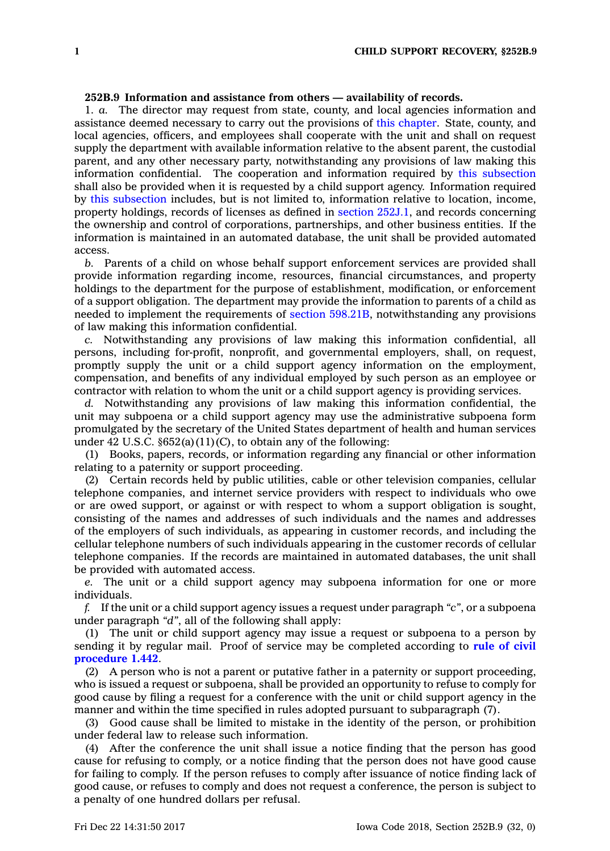## **252B.9 Information and assistance from others — availability of records.**

1. *a.* The director may request from state, county, and local agencies information and assistance deemed necessary to carry out the provisions of this [chapter](https://www.legis.iowa.gov/docs/code//252B.pdf). State, county, and local agencies, officers, and employees shall cooperate with the unit and shall on request supply the department with available information relative to the absent parent, the custodial parent, and any other necessary party, notwithstanding any provisions of law making this information confidential. The cooperation and information required by this [subsection](https://www.legis.iowa.gov/docs/code/252B.9.pdf) shall also be provided when it is requested by <sup>a</sup> child support agency. Information required by this [subsection](https://www.legis.iowa.gov/docs/code/252B.9.pdf) includes, but is not limited to, information relative to location, income, property holdings, records of licenses as defined in section [252J.1](https://www.legis.iowa.gov/docs/code/252J.1.pdf), and records concerning the ownership and control of corporations, partnerships, and other business entities. If the information is maintained in an automated database, the unit shall be provided automated access.

*b.* Parents of <sup>a</sup> child on whose behalf support enforcement services are provided shall provide information regarding income, resources, financial circumstances, and property holdings to the department for the purpose of establishment, modification, or enforcement of <sup>a</sup> support obligation. The department may provide the information to parents of <sup>a</sup> child as needed to implement the requirements of section [598.21B](https://www.legis.iowa.gov/docs/code/598.21B.pdf), notwithstanding any provisions of law making this information confidential.

*c.* Notwithstanding any provisions of law making this information confidential, all persons, including for-profit, nonprofit, and governmental employers, shall, on request, promptly supply the unit or <sup>a</sup> child support agency information on the employment, compensation, and benefits of any individual employed by such person as an employee or contractor with relation to whom the unit or <sup>a</sup> child support agency is providing services.

*d.* Notwithstanding any provisions of law making this information confidential, the unit may subpoena or <sup>a</sup> child support agency may use the administrative subpoena form promulgated by the secretary of the United States department of health and human services under 42 U.S.C.  $\S 652(a)(11)(C)$ , to obtain any of the following:

(1) Books, papers, records, or information regarding any financial or other information relating to <sup>a</sup> paternity or support proceeding.

(2) Certain records held by public utilities, cable or other television companies, cellular telephone companies, and internet service providers with respect to individuals who owe or are owed support, or against or with respect to whom <sup>a</sup> support obligation is sought, consisting of the names and addresses of such individuals and the names and addresses of the employers of such individuals, as appearing in customer records, and including the cellular telephone numbers of such individuals appearing in the customer records of cellular telephone companies. If the records are maintained in automated databases, the unit shall be provided with automated access.

*e.* The unit or <sup>a</sup> child support agency may subpoena information for one or more individuals.

*f.* If the unit or <sup>a</sup> child support agency issues <sup>a</sup> request under paragraph *"c"*, or <sup>a</sup> subpoena under paragraph *"d"*, all of the following shall apply:

(1) The unit or child support agency may issue <sup>a</sup> request or subpoena to <sup>a</sup> person by sending it by regular mail. Proof of service may be completed according to **rule of [civil](https://www.legis.iowa.gov/docs/ACO/CourtRulesChapter/1.pdf) [procedure](https://www.legis.iowa.gov/docs/ACO/CourtRulesChapter/1.pdf) 1.442**.

(2) A person who is not <sup>a</sup> parent or putative father in <sup>a</sup> paternity or support proceeding, who is issued <sup>a</sup> request or subpoena, shall be provided an opportunity to refuse to comply for good cause by filing <sup>a</sup> request for <sup>a</sup> conference with the unit or child support agency in the manner and within the time specified in rules adopted pursuant to subparagraph (7).

(3) Good cause shall be limited to mistake in the identity of the person, or prohibition under federal law to release such information.

(4) After the conference the unit shall issue <sup>a</sup> notice finding that the person has good cause for refusing to comply, or <sup>a</sup> notice finding that the person does not have good cause for failing to comply. If the person refuses to comply after issuance of notice finding lack of good cause, or refuses to comply and does not request <sup>a</sup> conference, the person is subject to <sup>a</sup> penalty of one hundred dollars per refusal.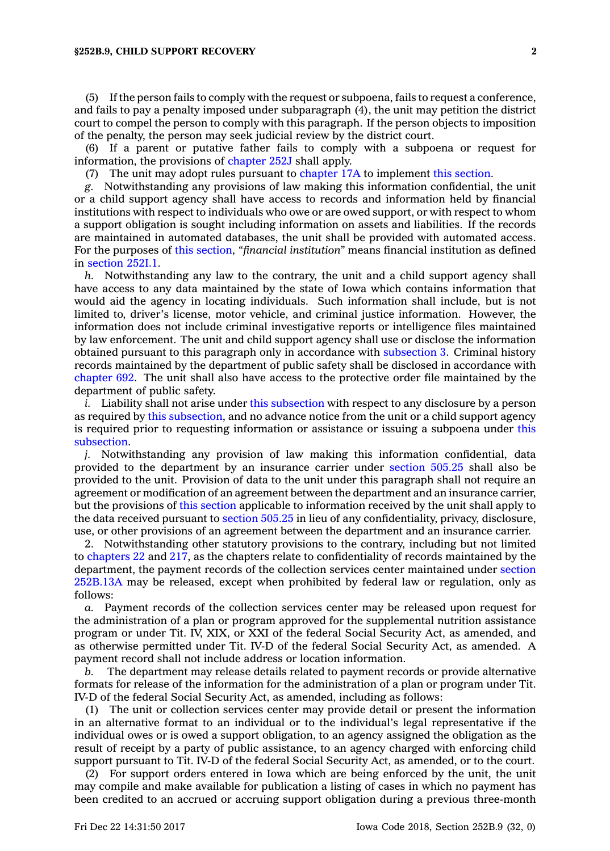(5) If the person fails to comply with the request or subpoena, fails to request <sup>a</sup> conference, and fails to pay <sup>a</sup> penalty imposed under subparagraph (4), the unit may petition the district court to compel the person to comply with this paragraph. If the person objects to imposition of the penalty, the person may seek judicial review by the district court.

(6) If <sup>a</sup> parent or putative father fails to comply with <sup>a</sup> subpoena or request for information, the provisions of [chapter](https://www.legis.iowa.gov/docs/code//252J.pdf) 252J shall apply.

(7) The unit may adopt rules pursuant to [chapter](https://www.legis.iowa.gov/docs/code//17A.pdf) 17A to implement this [section](https://www.legis.iowa.gov/docs/code/252B.9.pdf).

*g.* Notwithstanding any provisions of law making this information confidential, the unit or <sup>a</sup> child support agency shall have access to records and information held by financial institutions with respect to individuals who owe or are owed support, or with respect to whom <sup>a</sup> support obligation is sought including information on assets and liabilities. If the records are maintained in automated databases, the unit shall be provided with automated access. For the purposes of this [section](https://www.legis.iowa.gov/docs/code/252B.9.pdf), *"financial institution"* means financial institution as defined in [section](https://www.legis.iowa.gov/docs/code/252I.1.pdf) 252I.1.

*h.* Notwithstanding any law to the contrary, the unit and <sup>a</sup> child support agency shall have access to any data maintained by the state of Iowa which contains information that would aid the agency in locating individuals. Such information shall include, but is not limited to, driver's license, motor vehicle, and criminal justice information. However, the information does not include criminal investigative reports or intelligence files maintained by law enforcement. The unit and child support agency shall use or disclose the information obtained pursuant to this paragraph only in accordance with [subsection](https://www.legis.iowa.gov/docs/code/252B.9.pdf) 3. Criminal history records maintained by the department of public safety shall be disclosed in accordance with [chapter](https://www.legis.iowa.gov/docs/code//692.pdf) 692. The unit shall also have access to the protective order file maintained by the department of public safety.

*i.* Liability shall not arise under this [subsection](https://www.legis.iowa.gov/docs/code/252B.9.pdf) with respect to any disclosure by <sup>a</sup> person as required by this [subsection](https://www.legis.iowa.gov/docs/code/252B.9.pdf), and no advance notice from the unit or <sup>a</sup> child support agency is required prior to requesting information or assistance or issuing <sup>a</sup> subpoena under [this](https://www.legis.iowa.gov/docs/code/252B.9.pdf) [subsection](https://www.legis.iowa.gov/docs/code/252B.9.pdf).

*j.* Notwithstanding any provision of law making this information confidential, data provided to the department by an insurance carrier under [section](https://www.legis.iowa.gov/docs/code/505.25.pdf) 505.25 shall also be provided to the unit. Provision of data to the unit under this paragraph shall not require an agreement or modification of an agreement between the department and an insurance carrier, but the provisions of this [section](https://www.legis.iowa.gov/docs/code/252B.9.pdf) applicable to information received by the unit shall apply to the data received pursuant to [section](https://www.legis.iowa.gov/docs/code/505.25.pdf) 505.25 in lieu of any confidentiality, privacy, disclosure, use, or other provisions of an agreement between the department and an insurance carrier.

2. Notwithstanding other statutory provisions to the contrary, including but not limited to [chapters](https://www.legis.iowa.gov/docs/code//22.pdf) 22 and [217](https://www.legis.iowa.gov/docs/code//217.pdf), as the chapters relate to confidentiality of records maintained by the department, the payment records of the collection services center maintained under [section](https://www.legis.iowa.gov/docs/code/252B.13A.pdf) [252B.13A](https://www.legis.iowa.gov/docs/code/252B.13A.pdf) may be released, except when prohibited by federal law or regulation, only as follows:

*a.* Payment records of the collection services center may be released upon request for the administration of <sup>a</sup> plan or program approved for the supplemental nutrition assistance program or under Tit. IV, XIX, or XXI of the federal Social Security Act, as amended, and as otherwise permitted under Tit. IV-D of the federal Social Security Act, as amended. A payment record shall not include address or location information.

*b.* The department may release details related to payment records or provide alternative formats for release of the information for the administration of <sup>a</sup> plan or program under Tit. IV-D of the federal Social Security Act, as amended, including as follows:

(1) The unit or collection services center may provide detail or present the information in an alternative format to an individual or to the individual's legal representative if the individual owes or is owed <sup>a</sup> support obligation, to an agency assigned the obligation as the result of receipt by <sup>a</sup> party of public assistance, to an agency charged with enforcing child support pursuant to Tit. IV-D of the federal Social Security Act, as amended, or to the court.

(2) For support orders entered in Iowa which are being enforced by the unit, the unit may compile and make available for publication <sup>a</sup> listing of cases in which no payment has been credited to an accrued or accruing support obligation during <sup>a</sup> previous three-month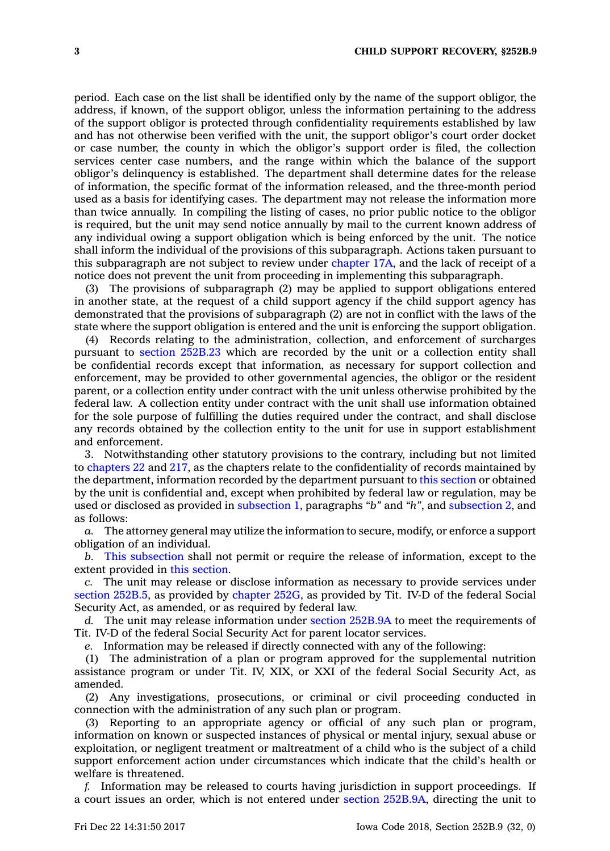period. Each case on the list shall be identified only by the name of the support obligor, the address, if known, of the support obligor, unless the information pertaining to the address of the support obligor is protected through confidentiality requirements established by law and has not otherwise been verified with the unit, the support obligor's court order docket or case number, the county in which the obligor's support order is filed, the collection services center case numbers, and the range within which the balance of the support obligor's delinquency is established. The department shall determine dates for the release of information, the specific format of the information released, and the three-month period used as <sup>a</sup> basis for identifying cases. The department may not release the information more than twice annually. In compiling the listing of cases, no prior public notice to the obligor is required, but the unit may send notice annually by mail to the current known address of any individual owing <sup>a</sup> support obligation which is being enforced by the unit. The notice shall inform the individual of the provisions of this subparagraph. Actions taken pursuant to this subparagraph are not subject to review under [chapter](https://www.legis.iowa.gov/docs/code//17A.pdf) 17A, and the lack of receipt of <sup>a</sup> notice does not prevent the unit from proceeding in implementing this subparagraph.

(3) The provisions of subparagraph (2) may be applied to support obligations entered in another state, at the request of <sup>a</sup> child support agency if the child support agency has demonstrated that the provisions of subparagraph (2) are not in conflict with the laws of the state where the support obligation is entered and the unit is enforcing the support obligation.

(4) Records relating to the administration, collection, and enforcement of surcharges pursuant to section [252B.23](https://www.legis.iowa.gov/docs/code/252B.23.pdf) which are recorded by the unit or <sup>a</sup> collection entity shall be confidential records except that information, as necessary for support collection and enforcement, may be provided to other governmental agencies, the obligor or the resident parent, or <sup>a</sup> collection entity under contract with the unit unless otherwise prohibited by the federal law. A collection entity under contract with the unit shall use information obtained for the sole purpose of fulfilling the duties required under the contract, and shall disclose any records obtained by the collection entity to the unit for use in support establishment and enforcement.

3. Notwithstanding other statutory provisions to the contrary, including but not limited to [chapters](https://www.legis.iowa.gov/docs/code//22.pdf) 22 and [217](https://www.legis.iowa.gov/docs/code//217.pdf), as the chapters relate to the confidentiality of records maintained by the department, information recorded by the department pursuant to this [section](https://www.legis.iowa.gov/docs/code/252B.9.pdf) or obtained by the unit is confidential and, except when prohibited by federal law or regulation, may be used or disclosed as provided in [subsection](https://www.legis.iowa.gov/docs/code/252B.9.pdf) 1, paragraphs *"b"* and *"h"*, and [subsection](https://www.legis.iowa.gov/docs/code/252B.9.pdf) 2, and as follows:

*a.* The attorney general may utilize the information to secure, modify, or enforce <sup>a</sup> support obligation of an individual.

*b.* This [subsection](https://www.legis.iowa.gov/docs/code/252B.9.pdf) shall not permit or require the release of information, except to the extent provided in this [section](https://www.legis.iowa.gov/docs/code/252B.9.pdf).

*c.* The unit may release or disclose information as necessary to provide services under section [252B.5](https://www.legis.iowa.gov/docs/code/252B.5.pdf), as provided by [chapter](https://www.legis.iowa.gov/docs/code//252G.pdf) 252G, as provided by Tit. IV-D of the federal Social Security Act, as amended, or as required by federal law.

*d.* The unit may release information under section [252B.9A](https://www.legis.iowa.gov/docs/code/252B.9A.pdf) to meet the requirements of Tit. IV-D of the federal Social Security Act for parent locator services.

*e.* Information may be released if directly connected with any of the following:

(1) The administration of <sup>a</sup> plan or program approved for the supplemental nutrition assistance program or under Tit. IV, XIX, or XXI of the federal Social Security Act, as amended.

(2) Any investigations, prosecutions, or criminal or civil proceeding conducted in connection with the administration of any such plan or program.

(3) Reporting to an appropriate agency or official of any such plan or program, information on known or suspected instances of physical or mental injury, sexual abuse or exploitation, or negligent treatment or maltreatment of <sup>a</sup> child who is the subject of <sup>a</sup> child support enforcement action under circumstances which indicate that the child's health or welfare is threatened.

*f.* Information may be released to courts having jurisdiction in support proceedings. If <sup>a</sup> court issues an order, which is not entered under section [252B.9A](https://www.legis.iowa.gov/docs/code/252B.9A.pdf), directing the unit to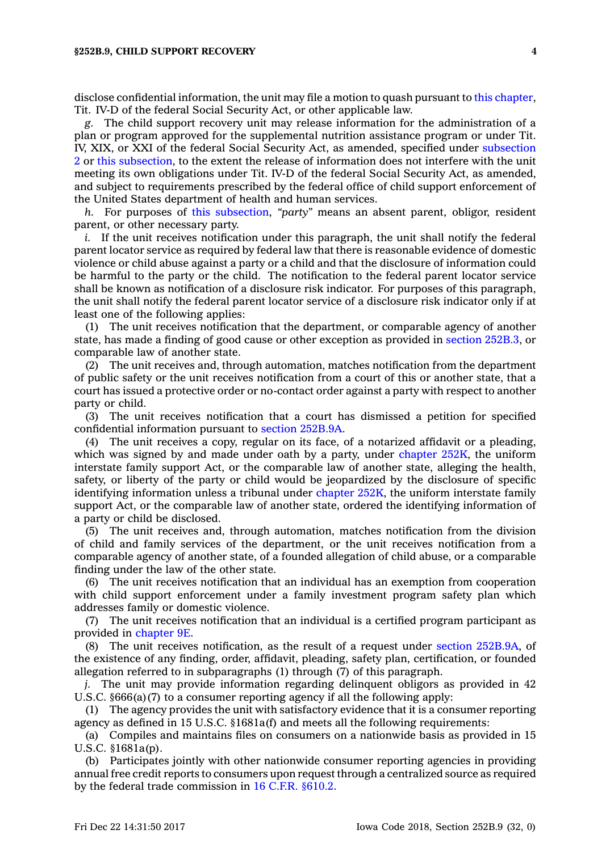disclose confidential information, the unit may file <sup>a</sup> motion to quash pursuant to this [chapter](https://www.legis.iowa.gov/docs/code//252B.pdf), Tit. IV-D of the federal Social Security Act, or other applicable law.

*g.* The child support recovery unit may release information for the administration of <sup>a</sup> plan or program approved for the supplemental nutrition assistance program or under Tit. IV, XIX, or XXI of the federal Social Security Act, as amended, specified under [subsection](https://www.legis.iowa.gov/docs/code/252B.9.pdf) [2](https://www.legis.iowa.gov/docs/code/252B.9.pdf) or this [subsection](https://www.legis.iowa.gov/docs/code/252B.9.pdf), to the extent the release of information does not interfere with the unit meeting its own obligations under Tit. IV-D of the federal Social Security Act, as amended, and subject to requirements prescribed by the federal office of child support enforcement of the United States department of health and human services.

*h.* For purposes of this [subsection](https://www.legis.iowa.gov/docs/code/252B.9.pdf), *"party"* means an absent parent, obligor, resident parent, or other necessary party.

*i.* If the unit receives notification under this paragraph, the unit shall notify the federal parent locator service as required by federal law that there is reasonable evidence of domestic violence or child abuse against <sup>a</sup> party or <sup>a</sup> child and that the disclosure of information could be harmful to the party or the child. The notification to the federal parent locator service shall be known as notification of <sup>a</sup> disclosure risk indicator. For purposes of this paragraph, the unit shall notify the federal parent locator service of <sup>a</sup> disclosure risk indicator only if at least one of the following applies:

(1) The unit receives notification that the department, or comparable agency of another state, has made <sup>a</sup> finding of good cause or other exception as provided in section [252B.3](https://www.legis.iowa.gov/docs/code/252B.3.pdf), or comparable law of another state.

(2) The unit receives and, through automation, matches notification from the department of public safety or the unit receives notification from <sup>a</sup> court of this or another state, that <sup>a</sup> court has issued <sup>a</sup> protective order or no-contact order against <sup>a</sup> party with respect to another party or child.

(3) The unit receives notification that <sup>a</sup> court has dismissed <sup>a</sup> petition for specified confidential information pursuant to section [252B.9A](https://www.legis.iowa.gov/docs/code/252B.9A.pdf).

(4) The unit receives <sup>a</sup> copy, regular on its face, of <sup>a</sup> notarized affidavit or <sup>a</sup> pleading, which was signed by and made under oath by a party, under [chapter](https://www.legis.iowa.gov/docs/code//252K.pdf)  $252K$ , the uniform interstate family support Act, or the comparable law of another state, alleging the health, safety, or liberty of the party or child would be jeopardized by the disclosure of specific identifying information unless <sup>a</sup> tribunal under [chapter](https://www.legis.iowa.gov/docs/code//252K.pdf) 252K, the uniform interstate family support Act, or the comparable law of another state, ordered the identifying information of <sup>a</sup> party or child be disclosed.

(5) The unit receives and, through automation, matches notification from the division of child and family services of the department, or the unit receives notification from <sup>a</sup> comparable agency of another state, of <sup>a</sup> founded allegation of child abuse, or <sup>a</sup> comparable finding under the law of the other state.

(6) The unit receives notification that an individual has an exemption from cooperation with child support enforcement under <sup>a</sup> family investment program safety plan which addresses family or domestic violence.

(7) The unit receives notification that an individual is <sup>a</sup> certified program participant as provided in [chapter](https://www.legis.iowa.gov/docs/code//9E.pdf) 9E.

(8) The unit receives notification, as the result of <sup>a</sup> request under section [252B.9A](https://www.legis.iowa.gov/docs/code/252B.9A.pdf), of the existence of any finding, order, affidavit, pleading, safety plan, certification, or founded allegation referred to in subparagraphs (1) through (7) of this paragraph.

*j.* The unit may provide information regarding delinquent obligors as provided in 42 U.S.C. §666(a)(7) to <sup>a</sup> consumer reporting agency if all the following apply:

(1) The agency provides the unit with satisfactory evidence that it is <sup>a</sup> consumer reporting agency as defined in 15 U.S.C. §1681a(f) and meets all the following requirements:

(a) Compiles and maintains files on consumers on <sup>a</sup> nationwide basis as provided in 15 U.S.C. §1681a(p).

(b) Participates jointly with other nationwide consumer reporting agencies in providing annual free credit reports to consumers upon request through <sup>a</sup> centralized source as required by the federal trade commission in 16 C.F.R. [§610.2](https://www.law.cornell.edu/cfr/text/16/610.2).